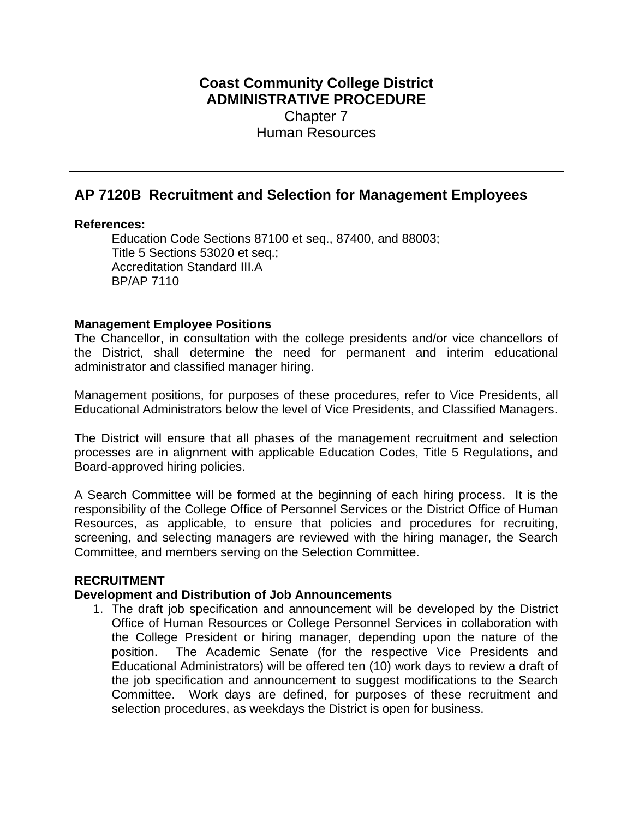# **Coast Community College District ADMINISTRATIVE PROCEDURE** Chapter 7 Human Resources

# **AP 7120B Recruitment and Selection for Management Employees**

### **References:**

Education Code Sections 87100 et seq., 87400, and 88003; Title 5 Sections 53020 et seq.; Accreditation Standard III.A BP/AP 7110

### **Management Employee Positions**

The Chancellor, in consultation with the college presidents and/or vice chancellors of the District, shall determine the need for permanent and interim educational administrator and classified manager hiring.

Management positions, for purposes of these procedures, refer to Vice Presidents, all Educational Administrators below the level of Vice Presidents, and Classified Managers.

The District will ensure that all phases of the management recruitment and selection processes are in alignment with applicable Education Codes, Title 5 Regulations, and Board-approved hiring policies.

A Search Committee will be formed at the beginning of each hiring process. It is the responsibility of the College Office of Personnel Services or the District Office of Human Resources, as applicable, to ensure that policies and procedures for recruiting, screening, and selecting managers are reviewed with the hiring manager, the Search Committee, and members serving on the Selection Committee.

# **RECRUITMENT**

#### **Development and Distribution of Job Announcements**

 selection procedures, as weekdays the District is open for business. 1. The draft job specification and announcement will be developed by the District Office of Human Resources or College Personnel Services in collaboration with the College President or hiring manager, depending upon the nature of the position. The Academic Senate (for the respective Vice Presidents and Educational Administrators) will be offered ten (10) work days to review a draft of the job specification and announcement to suggest modifications to the Search Committee. Work days are defined, for purposes of these recruitment and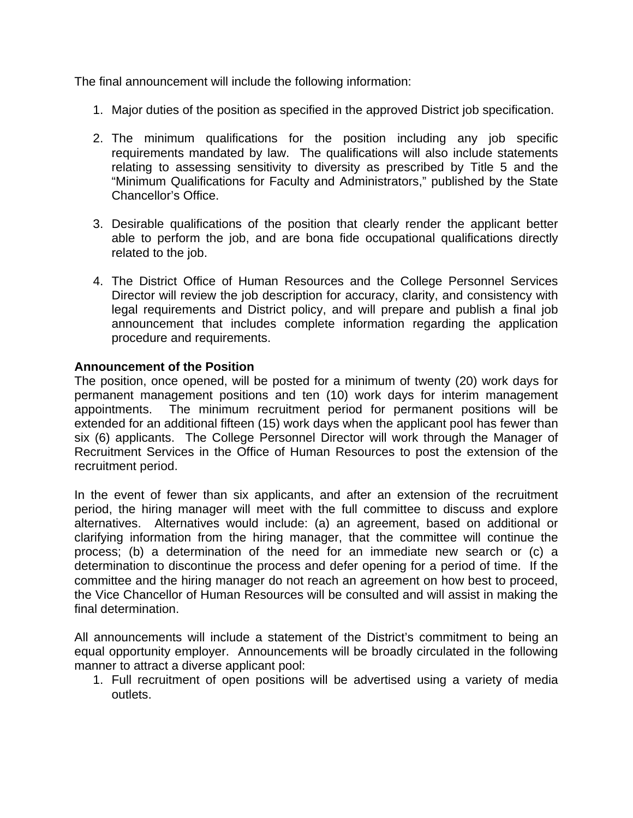The final announcement will include the following information:

- 1. Major duties of the position as specified in the approved District job specification.
- 2. The minimum qualifications for the position including any job specific requirements mandated by law. The qualifications will also include statements relating to assessing sensitivity to diversity as prescribed by Title 5 and the "Minimum Qualifications for Faculty and Administrators," published by the State Chancellor's Office.
- 3. Desirable qualifications of the position that clearly render the applicant better able to perform the job, and are bona fide occupational qualifications directly related to the job.
- 4. The District Office of Human Resources and the College Personnel Services Director will review the job description for accuracy, clarity, and consistency with legal requirements and District policy, and will prepare and publish a final job announcement that includes complete information regarding the application procedure and requirements.

## **Announcement of the Position**

The position, once opened, will be posted for a minimum of twenty (20) work days for permanent management positions and ten (10) work days for interim management appointments. The minimum recruitment period for permanent positions will be extended for an additional fifteen (15) work days when the applicant pool has fewer than six (6) applicants. The College Personnel Director will work through the Manager of Recruitment Services in the Office of Human Resources to post the extension of the recruitment period.

In the event of fewer than six applicants, and after an extension of the recruitment period, the hiring manager will meet with the full committee to discuss and explore alternatives. Alternatives would include: (a) an agreement, based on additional or clarifying information from the hiring manager, that the committee will continue the process; (b) a determination of the need for an immediate new search or (c) a determination to discontinue the process and defer opening for a period of time. If the committee and the hiring manager do not reach an agreement on how best to proceed, the Vice Chancellor of Human Resources will be consulted and will assist in making the final determination.

All announcements will include a statement of the District's commitment to being an equal opportunity employer. Announcements will be broadly circulated in the following manner to attract a diverse applicant pool:

1. Full recruitment of open positions will be advertised using a variety of media outlets.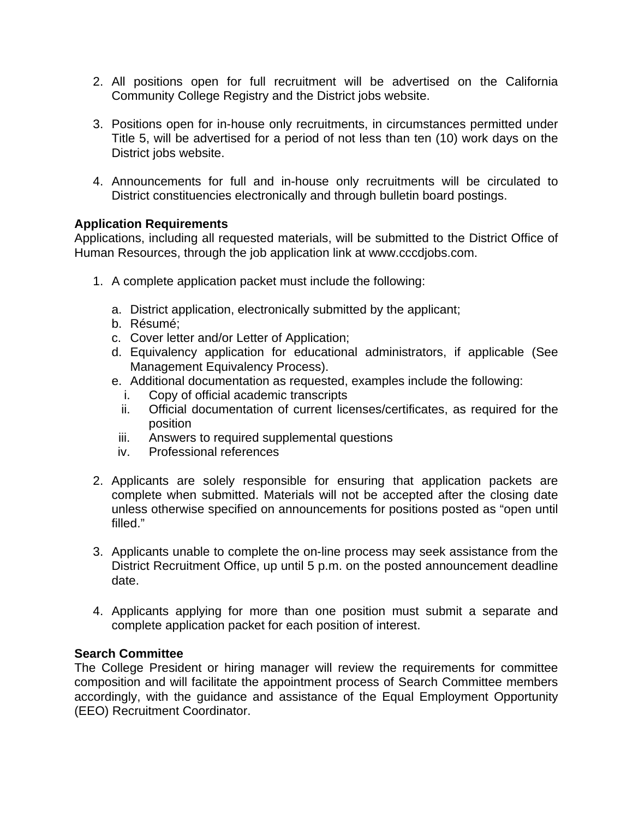- 2. All positions open for full recruitment will be advertised on the California Community College Registry and the District jobs website.
- 3. Positions open for in-house only recruitments, in circumstances permitted under Title 5, will be advertised for a period of not less than ten (10) work days on the District jobs website.
- 4. Announcements for full and in-house only recruitments will be circulated to District constituencies electronically and through bulletin board postings.

### **Application Requirements**

Applications, including all requested materials, will be submitted to the District Office of Human Resources, through the job application link at www.cccdjobs.com.

- 1. A complete application packet must include the following:
	- a. District application, electronically submitted by the applicant;
	- b. Résumé;
	- c. Cover letter and/or Letter of Application;
	- d. Equivalency application for educational administrators, if applicable (See Management Equivalency Process).
	- e. Additional documentation as requested, examples include the following:
		- i. Copy of official academic transcripts
		- ii. Official documentation of current licenses/certificates, as required for the position
		- iii. Answers to required supplemental questions
		- iv. Professional references
- 2. Applicants are solely responsible for ensuring that application packets are complete when submitted. Materials will not be accepted after the closing date unless otherwise specified on announcements for positions posted as "open until filled."
- 3. Applicants unable to complete the on-line process may seek assistance from the District Recruitment Office, up until 5 p.m. on the posted announcement deadline date.
- 4. Applicants applying for more than one position must submit a separate and complete application packet for each position of interest.

### **Search Committee**

The College President or hiring manager will review the requirements for committee composition and will facilitate the appointment process of Search Committee members accordingly, with the guidance and assistance of the Equal Employment Opportunity (EEO) Recruitment Coordinator.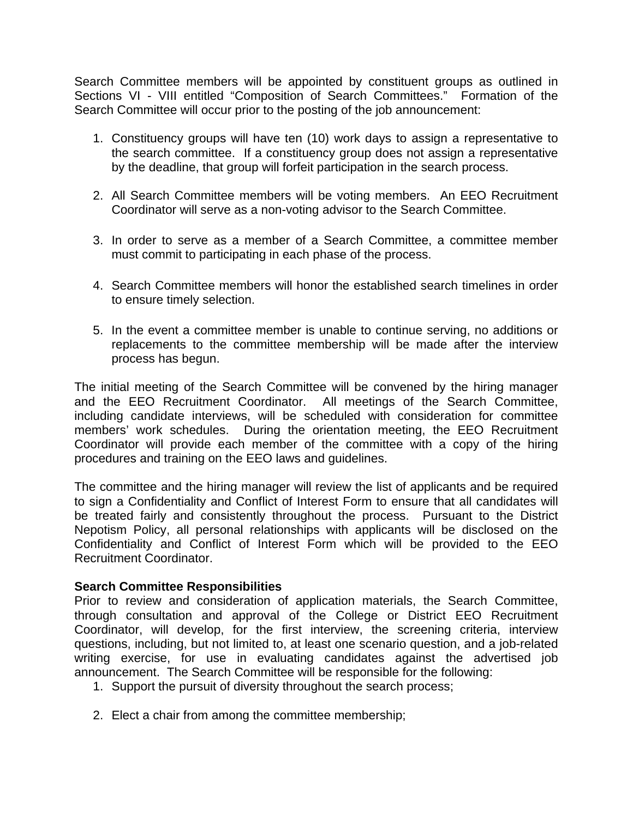Search Committee members will be appointed by constituent groups as outlined in Sections VI - VIII entitled "Composition of Search Committees." Formation of the Search Committee will occur prior to the posting of the job announcement:

- 1. Constituency groups will have ten (10) work days to assign a representative to the search committee. If a constituency group does not assign a representative by the deadline, that group will forfeit participation in the search process.
- 2. All Search Committee members will be voting members. An EEO Recruitment Coordinator will serve as a non-voting advisor to the Search Committee.
- 3. In order to serve as a member of a Search Committee, a committee member must commit to participating in each phase of the process.
- 4. Search Committee members will honor the established search timelines in order to ensure timely selection.
- 5. In the event a committee member is unable to continue serving, no additions or replacements to the committee membership will be made after the interview process has begun.

The initial meeting of the Search Committee will be convened by the hiring manager and the EEO Recruitment Coordinator. All meetings of the Search Committee, including candidate interviews, will be scheduled with consideration for committee members' work schedules. During the orientation meeting, the EEO Recruitment Coordinator will provide each member of the committee with a copy of the hiring procedures and training on the EEO laws and guidelines.

The committee and the hiring manager will review the list of applicants and be required to sign a Confidentiality and Conflict of Interest Form to ensure that all candidates will be treated fairly and consistently throughout the process. Pursuant to the District Nepotism Policy, all personal relationships with applicants will be disclosed on the Confidentiality and Conflict of Interest Form which will be provided to the EEO Recruitment Coordinator.

### **Search Committee Responsibilities**

Prior to review and consideration of application materials, the Search Committee, through consultation and approval of the College or District EEO Recruitment Coordinator, will develop, for the first interview, the screening criteria, interview questions, including, but not limited to, at least one scenario question, and a job-related writing exercise, for use in evaluating candidates against the advertised job announcement. The Search Committee will be responsible for the following:

- 1. Support the pursuit of diversity throughout the search process;
- 2. Elect a chair from among the committee membership;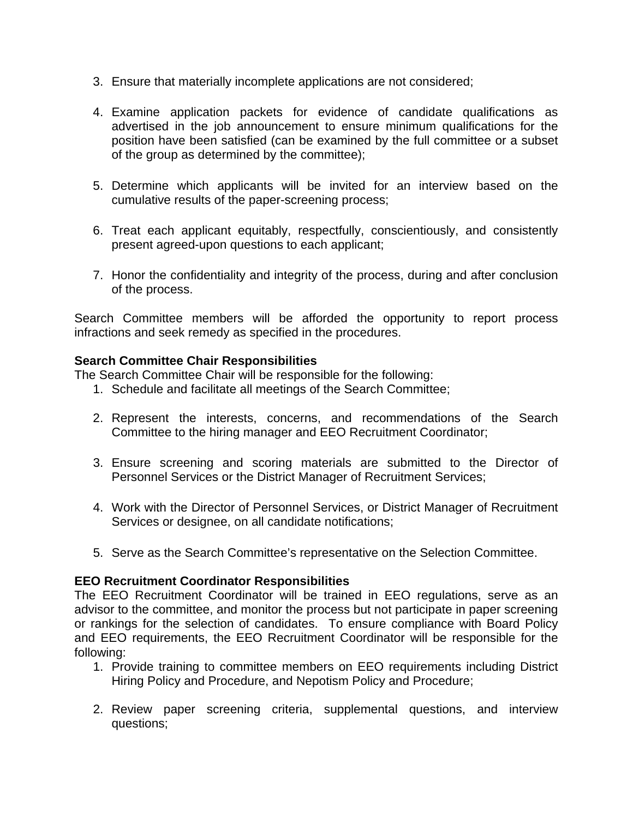- 3. Ensure that materially incomplete applications are not considered;
- 4. Examine application packets for evidence of candidate qualifications as advertised in the job announcement to ensure minimum qualifications for the position have been satisfied (can be examined by the full committee or a subset of the group as determined by the committee);
- 5. Determine which applicants will be invited for an interview based on the cumulative results of the paper-screening process;
- 6. Treat each applicant equitably, respectfully, conscientiously, and consistently present agreed-upon questions to each applicant;
- 7. Honor the confidentiality and integrity of the process, during and after conclusion of the process.

Search Committee members will be afforded the opportunity to report process infractions and seek remedy as specified in the procedures.

### **Search Committee Chair Responsibilities**

The Search Committee Chair will be responsible for the following:

- 1. Schedule and facilitate all meetings of the Search Committee;
- 2. Represent the interests, concerns, and recommendations of the Search Committee to the hiring manager and EEO Recruitment Coordinator;
- 3. Ensure screening and scoring materials are submitted to the Director of Personnel Services or the District Manager of Recruitment Services;
- 4. Work with the Director of Personnel Services, or District Manager of Recruitment Services or designee, on all candidate notifications;
- 5. Serve as the Search Committee's representative on the Selection Committee.

### **EEO Recruitment Coordinator Responsibilities**

The EEO Recruitment Coordinator will be trained in EEO regulations, serve as an advisor to the committee, and monitor the process but not participate in paper screening or rankings for the selection of candidates. To ensure compliance with Board Policy and EEO requirements, the EEO Recruitment Coordinator will be responsible for the following:

- 1. Provide training to committee members on EEO requirements including District Hiring Policy and Procedure, and Nepotism Policy and Procedure;
- 2. Review paper screening criteria, supplemental questions, and interview questions;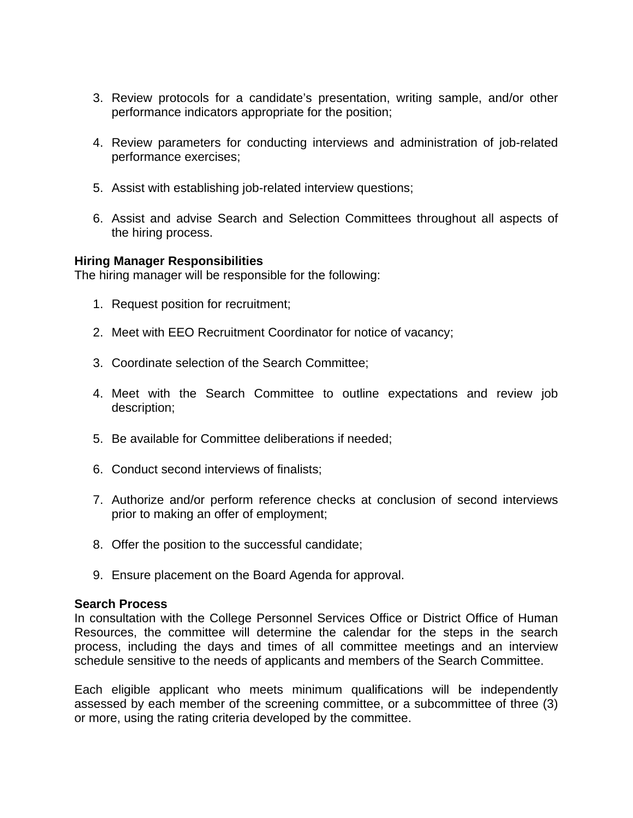- 3. Review protocols for a candidate's presentation, writing sample, and/or other performance indicators appropriate for the position;
- 4. Review parameters for conducting interviews and administration of job-related performance exercises;
- 5. Assist with establishing job-related interview questions;
- 6. Assist and advise Search and Selection Committees throughout all aspects of the hiring process.

#### **Hiring Manager Responsibilities**

The hiring manager will be responsible for the following:

- 1. Request position for recruitment;
- 2. Meet with EEO Recruitment Coordinator for notice of vacancy;
- 3. Coordinate selection of the Search Committee;
- 4. Meet with the Search Committee to outline expectations and review job description;
- 5. Be available for Committee deliberations if needed;
- 6. Conduct second interviews of finalists;
- 7. Authorize and/or perform reference checks at conclusion of second interviews prior to making an offer of employment;
- 8. Offer the position to the successful candidate;
- 9. Ensure placement on the Board Agenda for approval.

#### **Search Process**

In consultation with the College Personnel Services Office or District Office of Human Resources, the committee will determine the calendar for the steps in the search process, including the days and times of all committee meetings and an interview schedule sensitive to the needs of applicants and members of the Search Committee.

Each eligible applicant who meets minimum qualifications will be independently assessed by each member of the screening committee, or a subcommittee of three (3) or more, using the rating criteria developed by the committee.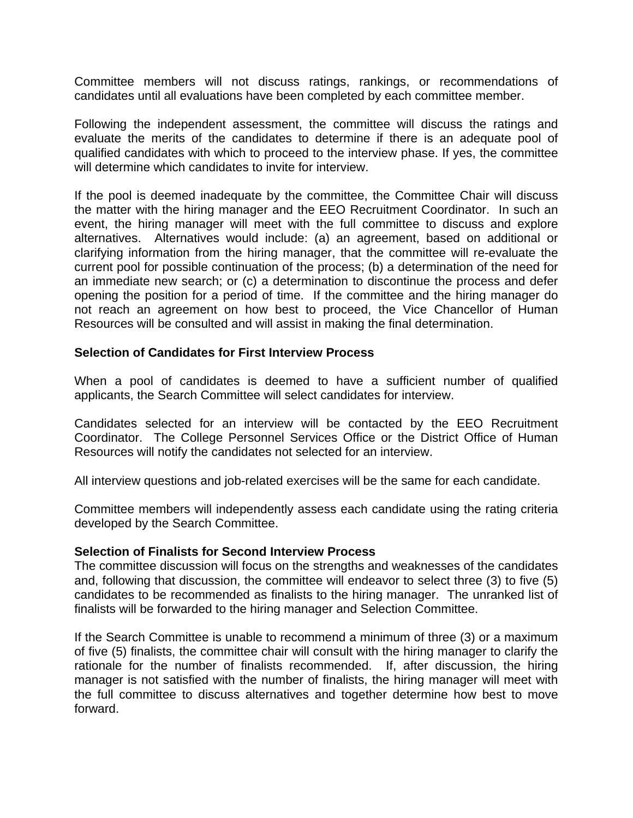Committee members will not discuss ratings, rankings, or recommendations of candidates until all evaluations have been completed by each committee member.

Following the independent assessment, the committee will discuss the ratings and evaluate the merits of the candidates to determine if there is an adequate pool of qualified candidates with which to proceed to the interview phase. If yes, the committee will determine which candidates to invite for interview.

If the pool is deemed inadequate by the committee, the Committee Chair will discuss the matter with the hiring manager and the EEO Recruitment Coordinator. In such an event, the hiring manager will meet with the full committee to discuss and explore alternatives. Alternatives would include: (a) an agreement, based on additional or clarifying information from the hiring manager, that the committee will re-evaluate the current pool for possible continuation of the process; (b) a determination of the need for an immediate new search; or (c) a determination to discontinue the process and defer opening the position for a period of time. If the committee and the hiring manager do not reach an agreement on how best to proceed, the Vice Chancellor of Human Resources will be consulted and will assist in making the final determination.

### **Selection of Candidates for First Interview Process**

When a pool of candidates is deemed to have a sufficient number of qualified applicants, the Search Committee will select candidates for interview.

Candidates selected for an interview will be contacted by the EEO Recruitment Coordinator. The College Personnel Services Office or the District Office of Human Resources will notify the candidates not selected for an interview.

All interview questions and job-related exercises will be the same for each candidate.

Committee members will independently assess each candidate using the rating criteria developed by the Search Committee.

#### **Selection of Finalists for Second Interview Process**

The committee discussion will focus on the strengths and weaknesses of the candidates and, following that discussion, the committee will endeavor to select three (3) to five (5) candidates to be recommended as finalists to the hiring manager. The unranked list of finalists will be forwarded to the hiring manager and Selection Committee.

If the Search Committee is unable to recommend a minimum of three (3) or a maximum of five (5) finalists, the committee chair will consult with the hiring manager to clarify the rationale for the number of finalists recommended. If, after discussion, the hiring manager is not satisfied with the number of finalists, the hiring manager will meet with the full committee to discuss alternatives and together determine how best to move forward.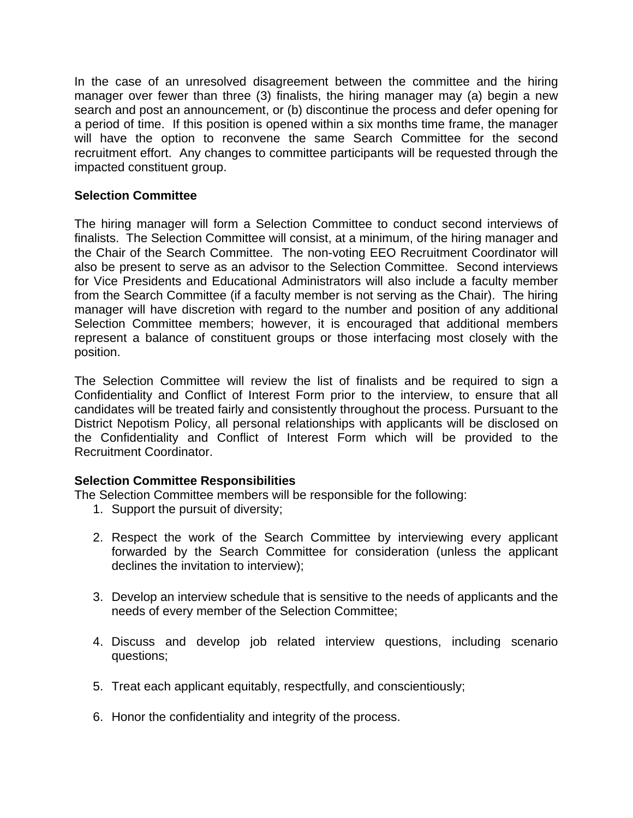In the case of an unresolved disagreement between the committee and the hiring manager over fewer than three (3) finalists, the hiring manager may (a) begin a new search and post an announcement, or (b) discontinue the process and defer opening for a period of time. If this position is opened within a six months time frame, the manager will have the option to reconvene the same Search Committee for the second recruitment effort. Any changes to committee participants will be requested through the impacted constituent group.

## **Selection Committee**

The hiring manager will form a Selection Committee to conduct second interviews of finalists. The Selection Committee will consist, at a minimum, of the hiring manager and the Chair of the Search Committee. The non-voting EEO Recruitment Coordinator will also be present to serve as an advisor to the Selection Committee. Second interviews for Vice Presidents and Educational Administrators will also include a faculty member from the Search Committee (if a faculty member is not serving as the Chair). The hiring manager will have discretion with regard to the number and position of any additional Selection Committee members; however, it is encouraged that additional members represent a balance of constituent groups or those interfacing most closely with the position.

The Selection Committee will review the list of finalists and be required to sign a Confidentiality and Conflict of Interest Form prior to the interview, to ensure that all candidates will be treated fairly and consistently throughout the process. Pursuant to the District Nepotism Policy, all personal relationships with applicants will be disclosed on the Confidentiality and Conflict of Interest Form which will be provided to the Recruitment Coordinator.

### **Selection Committee Responsibilities**

The Selection Committee members will be responsible for the following:

- 1. Support the pursuit of diversity;
- 2. Respect the work of the Search Committee by interviewing every applicant forwarded by the Search Committee for consideration (unless the applicant declines the invitation to interview);
- 3. Develop an interview schedule that is sensitive to the needs of applicants and the needs of every member of the Selection Committee;
- 4. Discuss and develop job related interview questions, including scenario questions;
- 5. Treat each applicant equitably, respectfully, and conscientiously;
- 6. Honor the confidentiality and integrity of the process.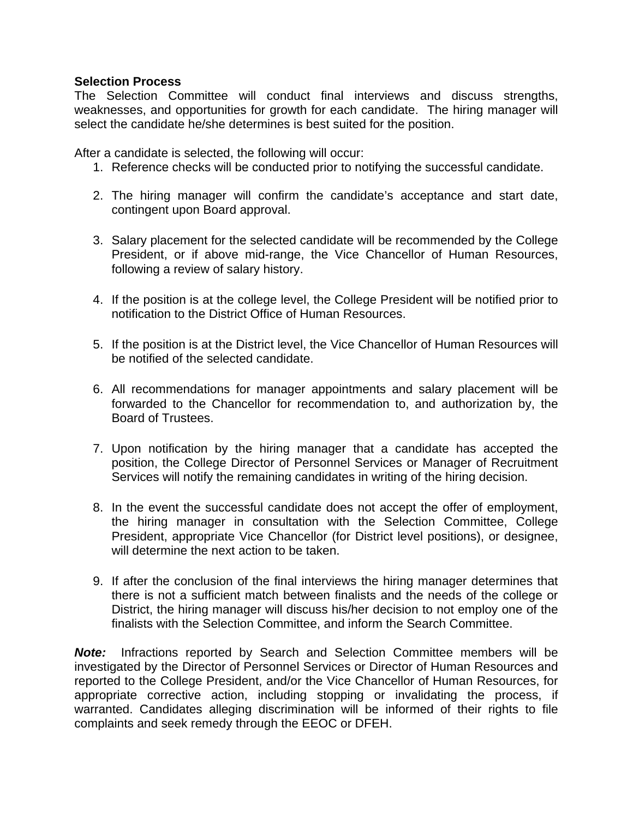### **Selection Process**

The Selection Committee will conduct final interviews and discuss strengths, weaknesses, and opportunities for growth for each candidate. The hiring manager will select the candidate he/she determines is best suited for the position.

After a candidate is selected, the following will occur:

- 1. Reference checks will be conducted prior to notifying the successful candidate.
- 2. The hiring manager will confirm the candidate's acceptance and start date, contingent upon Board approval.
- 3. Salary placement for the selected candidate will be recommended by the College President, or if above mid-range, the Vice Chancellor of Human Resources, following a review of salary history.
- 4. If the position is at the college level, the College President will be notified prior to notification to the District Office of Human Resources.
- 5. If the position is at the District level, the Vice Chancellor of Human Resources will be notified of the selected candidate.
- 6. All recommendations for manager appointments and salary placement will be forwarded to the Chancellor for recommendation to, and authorization by, the Board of Trustees.
- 7. Upon notification by the hiring manager that a candidate has accepted the position, the College Director of Personnel Services or Manager of Recruitment Services will notify the remaining candidates in writing of the hiring decision.
- 8. In the event the successful candidate does not accept the offer of employment, the hiring manager in consultation with the Selection Committee, College President, appropriate Vice Chancellor (for District level positions), or designee, will determine the next action to be taken.
- 9. If after the conclusion of the final interviews the hiring manager determines that there is not a sufficient match between finalists and the needs of the college or District, the hiring manager will discuss his/her decision to not employ one of the finalists with the Selection Committee, and inform the Search Committee.

*Note:* Infractions reported by Search and Selection Committee members will be investigated by the Director of Personnel Services or Director of Human Resources and reported to the College President, and/or the Vice Chancellor of Human Resources, for appropriate corrective action, including stopping or invalidating the process, if warranted. Candidates alleging discrimination will be informed of their rights to file complaints and seek remedy through the EEOC or DFEH.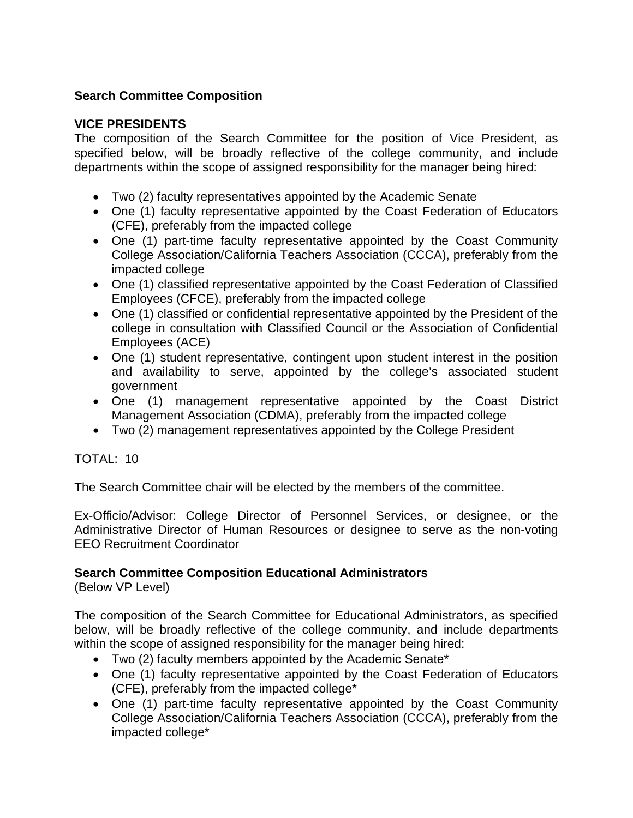# **Search Committee Composition**

### **VICE PRESIDENTS**

The composition of the Search Committee for the position of Vice President, as specified below, will be broadly reflective of the college community, and include departments within the scope of assigned responsibility for the manager being hired:

- Two (2) faculty representatives appointed by the Academic Senate
- One (1) faculty representative appointed by the Coast Federation of Educators (CFE), preferably from the impacted college
- One (1) part-time faculty representative appointed by the Coast Community College Association/California Teachers Association (CCCA), preferably from the impacted college
- One (1) classified representative appointed by the Coast Federation of Classified Employees (CFCE), preferably from the impacted college
- One (1) classified or confidential representative appointed by the President of the college in consultation with Classified Council or the Association of Confidential Employees (ACE)
- One (1) student representative, contingent upon student interest in the position and availability to serve, appointed by the college's associated student government
- One (1) management representative appointed by the Coast District Management Association (CDMA), preferably from the impacted college
- Two (2) management representatives appointed by the College President

TOTAL: 10

The Search Committee chair will be elected by the members of the committee.

Ex-Officio/Advisor: College Director of Personnel Services, or designee, or the Administrative Director of Human Resources or designee to serve as the non-voting EEO Recruitment Coordinator

### **Search Committee Composition Educational Administrators**

(Below VP Level)

The composition of the Search Committee for Educational Administrators, as specified below, will be broadly reflective of the college community, and include departments within the scope of assigned responsibility for the manager being hired:

- Two (2) faculty members appointed by the Academic Senate\*
- One (1) faculty representative appointed by the Coast Federation of Educators (CFE), preferably from the impacted college\*
- One (1) part-time faculty representative appointed by the Coast Community College Association/California Teachers Association (CCCA), preferably from the impacted college\*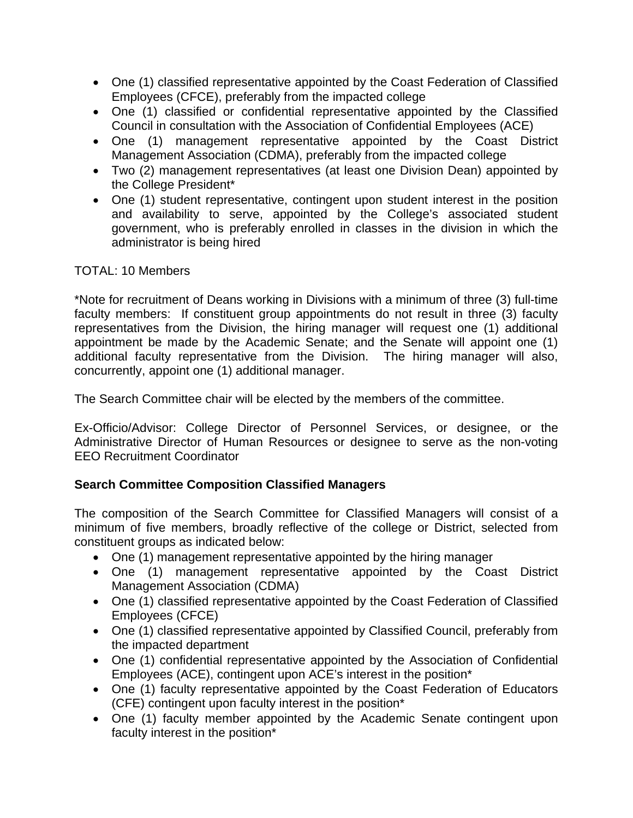- One (1) classified representative appointed by the Coast Federation of Classified Employees (CFCE), preferably from the impacted college
- One (1) classified or confidential representative appointed by the Classified Council in consultation with the Association of Confidential Employees (ACE)
- One (1) management representative appointed by the Coast District Management Association (CDMA), preferably from the impacted college
- Two (2) management representatives (at least one Division Dean) appointed by the College President\*
- One (1) student representative, contingent upon student interest in the position and availability to serve, appointed by the College's associated student government, who is preferably enrolled in classes in the division in which the administrator is being hired

# TOTAL: 10 Members

\*Note for recruitment of Deans working in Divisions with a minimum of three (3) full-time faculty members: If constituent group appointments do not result in three (3) faculty representatives from the Division, the hiring manager will request one (1) additional appointment be made by the Academic Senate; and the Senate will appoint one (1) additional faculty representative from the Division. The hiring manager will also, concurrently, appoint one (1) additional manager.

The Search Committee chair will be elected by the members of the committee.

Ex-Officio/Advisor: College Director of Personnel Services, or designee, or the Administrative Director of Human Resources or designee to serve as the non-voting EEO Recruitment Coordinator

# **Search Committee Composition Classified Managers**

The composition of the Search Committee for Classified Managers will consist of a minimum of five members, broadly reflective of the college or District, selected from constituent groups as indicated below:

- One (1) management representative appointed by the hiring manager
- One (1) management representative appointed by the Coast District Management Association (CDMA)
- One (1) classified representative appointed by the Coast Federation of Classified Employees (CFCE)
- One (1) classified representative appointed by Classified Council, preferably from the impacted department
- One (1) confidential representative appointed by the Association of Confidential Employees (ACE), contingent upon ACE's interest in the position\*
- One (1) faculty representative appointed by the Coast Federation of Educators (CFE) contingent upon faculty interest in the position\*
- One (1) faculty member appointed by the Academic Senate contingent upon faculty interest in the position\*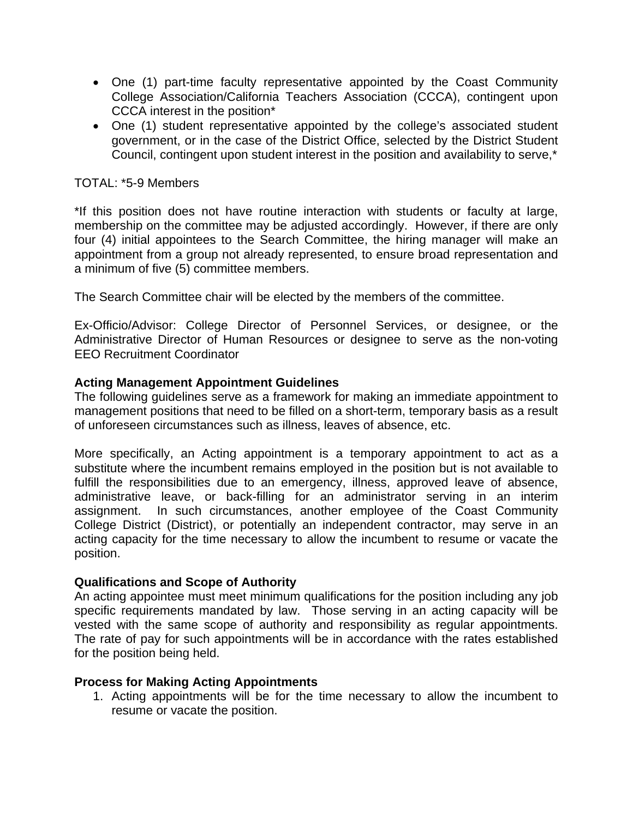- One (1) part-time faculty representative appointed by the Coast Community College Association/California Teachers Association (CCCA), contingent upon CCCA interest in the position\*
- One (1) student representative appointed by the college's associated student government, or in the case of the District Office, selected by the District Student Council, contingent upon student interest in the position and availability to serve,\*

### TOTAL: \*5-9 Members

\*If this position does not have routine interaction with students or faculty at large, membership on the committee may be adjusted accordingly. However, if there are only four (4) initial appointees to the Search Committee, the hiring manager will make an appointment from a group not already represented, to ensure broad representation and a minimum of five (5) committee members.

The Search Committee chair will be elected by the members of the committee.

Ex-Officio/Advisor: College Director of Personnel Services, or designee, or the Administrative Director of Human Resources or designee to serve as the non-voting EEO Recruitment Coordinator

### **Acting Management Appointment Guidelines**

The following guidelines serve as a framework for making an immediate appointment to management positions that need to be filled on a short-term, temporary basis as a result of unforeseen circumstances such as illness, leaves of absence, etc.

More specifically, an Acting appointment is a temporary appointment to act as a substitute where the incumbent remains employed in the position but is not available to fulfill the responsibilities due to an emergency, illness, approved leave of absence, administrative leave, or back-filling for an administrator serving in an interim assignment. In such circumstances, another employee of the Coast Community College District (District), or potentially an independent contractor, may serve in an acting capacity for the time necessary to allow the incumbent to resume or vacate the position.

### **Qualifications and Scope of Authority**

An acting appointee must meet minimum qualifications for the position including any job specific requirements mandated by law. Those serving in an acting capacity will be vested with the same scope of authority and responsibility as regular appointments. The rate of pay for such appointments will be in accordance with the rates established for the position being held.

### **Process for Making Acting Appointments**

1. Acting appointments will be for the time necessary to allow the incumbent to resume or vacate the position.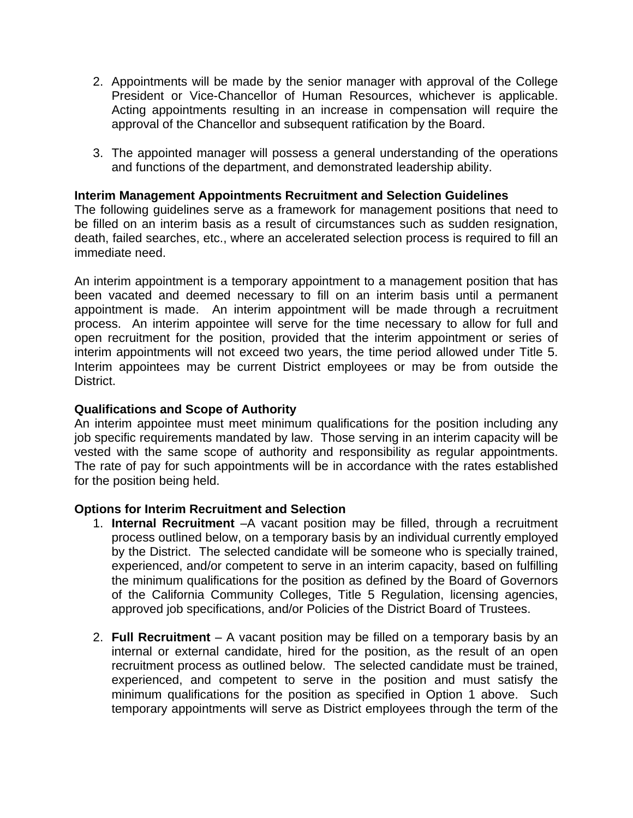- 2. Appointments will be made by the senior manager with approval of the College President or Vice-Chancellor of Human Resources, whichever is applicable. Acting appointments resulting in an increase in compensation will require the approval of the Chancellor and subsequent ratification by the Board.
- 3. The appointed manager will possess a general understanding of the operations and functions of the department, and demonstrated leadership ability.

### **Interim Management Appointments Recruitment and Selection Guidelines**

The following guidelines serve as a framework for management positions that need to be filled on an interim basis as a result of circumstances such as sudden resignation, death, failed searches, etc., where an accelerated selection process is required to fill an immediate need.

interim appointments will not exceed two years, the time period allowed under Title 5. An interim appointment is a temporary appointment to a management position that has been vacated and deemed necessary to fill on an interim basis until a permanent appointment is made. An interim appointment will be made through a recruitment process. An interim appointee will serve for the time necessary to allow for full and open recruitment for the position, provided that the interim appointment or series of Interim appointees may be current District employees or may be from outside the District.

#### **Qualifications and Scope of Authority**

An interim appointee must meet minimum qualifications for the position including any job specific requirements mandated by law. Those serving in an interim capacity will be vested with the same scope of authority and responsibility as regular appointments. The rate of pay for such appointments will be in accordance with the rates established for the position being held.

#### **Options for Interim Recruitment and Selection**

- 1. **Internal Recruitment** –A vacant position may be filled, through a recruitment process outlined below, on a temporary basis by an individual currently employed by the District. The selected candidate will be someone who is specially trained, experienced, and/or competent to serve in an interim capacity, based on fulfilling the minimum qualifications for the position as defined by the Board of Governors of the California Community Colleges, Title 5 Regulation, licensing agencies, approved job specifications, and/or Policies of the District Board of Trustees.
- 2. **Full Recruitment** A vacant position may be filled on a temporary basis by an internal or external candidate, hired for the position, as the result of an open recruitment process as outlined below. The selected candidate must be trained, experienced, and competent to serve in the position and must satisfy the minimum qualifications for the position as specified in Option 1 above. Such temporary appointments will serve as District employees through the term of the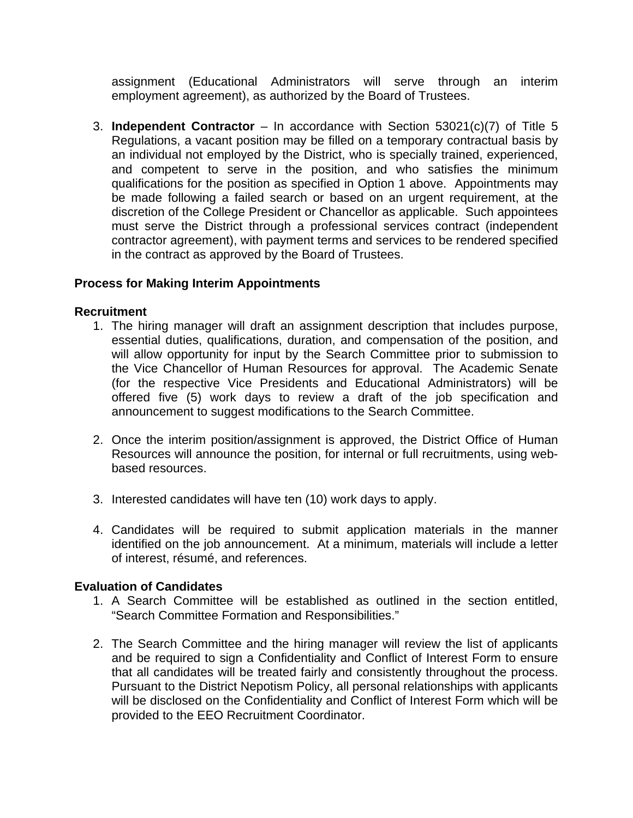assignment (Educational Administrators will serve through an interim employment agreement), as authorized by the Board of Trustees.

3. **Independent Contractor** – In accordance with Section 53021(c)(7) of Title 5 Regulations, a vacant position may be filled on a temporary contractual basis by an individual not employed by the District, who is specially trained, experienced, and competent to serve in the position, and who satisfies the minimum qualifications for the position as specified in Option 1 above. Appointments may be made following a failed search or based on an urgent requirement, at the discretion of the College President or Chancellor as applicable. Such appointees must serve the District through a professional services contract (independent contractor agreement), with payment terms and services to be rendered specified in the contract as approved by the Board of Trustees.

### **Process for Making Interim Appointments**

### **Recruitment**

- 1. The hiring manager will draft an assignment description that includes purpose, essential duties, qualifications, duration, and compensation of the position, and will allow opportunity for input by the Search Committee prior to submission to the Vice Chancellor of Human Resources for approval. The Academic Senate (for the respective Vice Presidents and Educational Administrators) will be offered five (5) work days to review a draft of the job specification and announcement to suggest modifications to the Search Committee.
- 2. Once the interim position/assignment is approved, the District Office of Human Resources will announce the position, for internal or full recruitments, using webbased resources.
- 3. Interested candidates will have ten (10) work days to apply.
- 4. Candidates will be required to submit application materials in the manner identified on the job announcement. At a minimum, materials will include a letter of interest, résumé, and references.

### **Evaluation of Candidates**

- 1. A Search Committee will be established as outlined in the section entitled, "Search Committee Formation and Responsibilities."
- 2. The Search Committee and the hiring manager will review the list of applicants and be required to sign a Confidentiality and Conflict of Interest Form to ensure that all candidates will be treated fairly and consistently throughout the process. Pursuant to the District Nepotism Policy, all personal relationships with applicants will be disclosed on the Confidentiality and Conflict of Interest Form which will be provided to the EEO Recruitment Coordinator.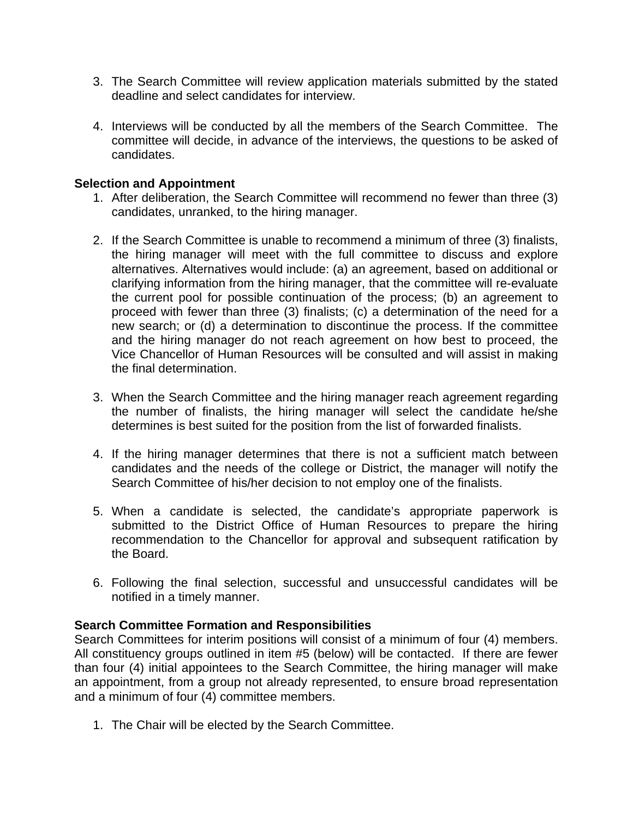- 3. The Search Committee will review application materials submitted by the stated deadline and select candidates for interview.
- 4. Interviews will be conducted by all the members of the Search Committee. The committee will decide, in advance of the interviews, the questions to be asked of candidates.

### **Selection and Appointment**

- 1. After deliberation, the Search Committee will recommend no fewer than three (3) candidates, unranked, to the hiring manager.
- 2. If the Search Committee is unable to recommend a minimum of three (3) finalists, the hiring manager will meet with the full committee to discuss and explore alternatives. Alternatives would include: (a) an agreement, based on additional or clarifying information from the hiring manager, that the committee will re-evaluate the current pool for possible continuation of the process; (b) an agreement to proceed with fewer than three (3) finalists; (c) a determination of the need for a new search; or (d) a determination to discontinue the process. If the committee and the hiring manager do not reach agreement on how best to proceed, the Vice Chancellor of Human Resources will be consulted and will assist in making the final determination.
- 3. When the Search Committee and the hiring manager reach agreement regarding the number of finalists, the hiring manager will select the candidate he/she determines is best suited for the position from the list of forwarded finalists.
- 4. If the hiring manager determines that there is not a sufficient match between candidates and the needs of the college or District, the manager will notify the Search Committee of his/her decision to not employ one of the finalists.
- 5. When a candidate is selected, the candidate's appropriate paperwork is submitted to the District Office of Human Resources to prepare the hiring recommendation to the Chancellor for approval and subsequent ratification by the Board.
- 6. Following the final selection, successful and unsuccessful candidates will be notified in a timely manner.

### **Search Committee Formation and Responsibilities**

Search Committees for interim positions will consist of a minimum of four (4) members. All constituency groups outlined in item #5 (below) will be contacted. If there are fewer than four (4) initial appointees to the Search Committee, the hiring manager will make an appointment, from a group not already represented, to ensure broad representation and a minimum of four (4) committee members.

1. The Chair will be elected by the Search Committee.